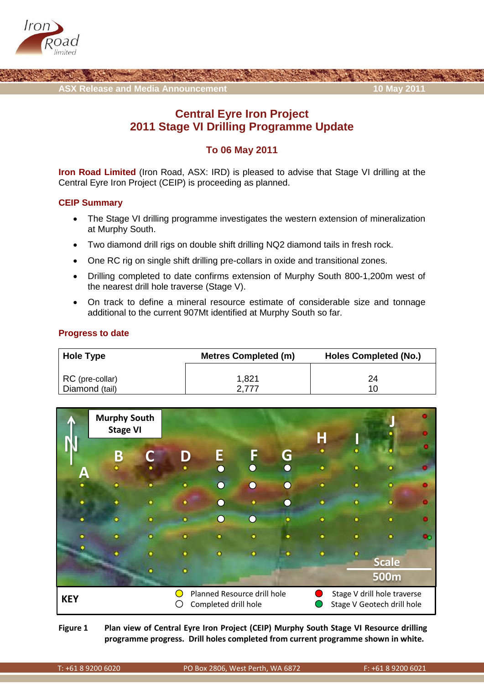



# **Central Eyre Iron Project 2011 Stage VI Drilling Programme Update**

## **To 06 May 2011**

**Iron Road Limited** (Iron Road, ASX: IRD) is pleased to advise that Stage VI drilling at the Central Eyre Iron Project (CEIP) is proceeding as planned.

### **CEIP Summary**

- The Stage VI drilling programme investigates the western extension of mineralization at Murphy South.
- Two diamond drill rigs on double shift drilling NQ2 diamond tails in fresh rock.
- One RC rig on single shift drilling pre-collars in oxide and transitional zones.
- Drilling completed to date confirms extension of Murphy South 800-1,200m west of the nearest drill hole traverse (Stage V).
- On track to define a mineral resource estimate of considerable size and tonnage additional to the current 907Mt identified at Murphy South so far.

### **Progress to date**

| Hole Type       | <b>Metres Completed (m)</b> | <b>Holes Completed (No.)</b> |
|-----------------|-----------------------------|------------------------------|
| RC (pre-collar) | 1,821                       | 24                           |
| Diamond (tail)  | 277/                        | 10                           |



**Figure 1 Plan view of Central Eyre Iron Project (CEIP) Murphy South Stage VI Resource drilling programme progress. Drill holes completed from current programme shown in white.**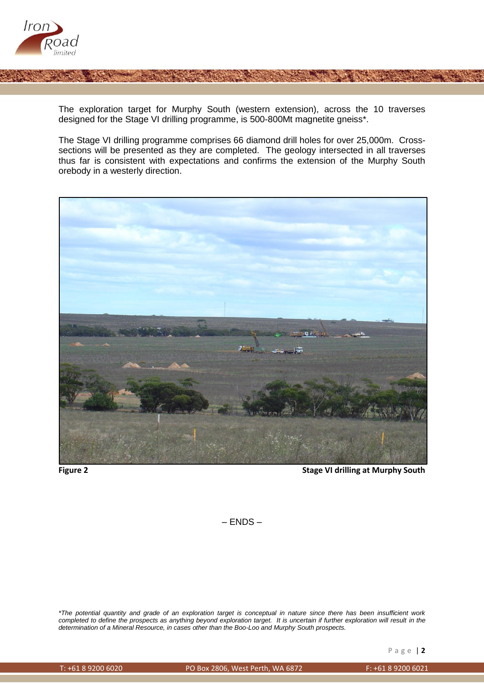

The exploration target for Murphy South (western extension), across the 10 traverses designed for the Stage VI drilling programme, is 500-800Mt magnetite gneiss\*.

The Stage VI drilling programme comprises 66 diamond drill holes for over 25,000m. Crosssections will be presented as they are completed. The geology intersected in all traverses thus far is consistent with expectations and confirms the extension of the Murphy South orebody in a westerly direction.



**Figure 2 Stage VI drilling at Murphy South**

– ENDS –

*\*The potential quantity and grade of an exploration target is conceptual in nature since there has been insufficient work*  completed to define the prospects as anything beyond exploration target. It is uncertain if further exploration will result in the *determination of a Mineral Resource, in cases other than the Boo-Loo and Murphy South prospects.*